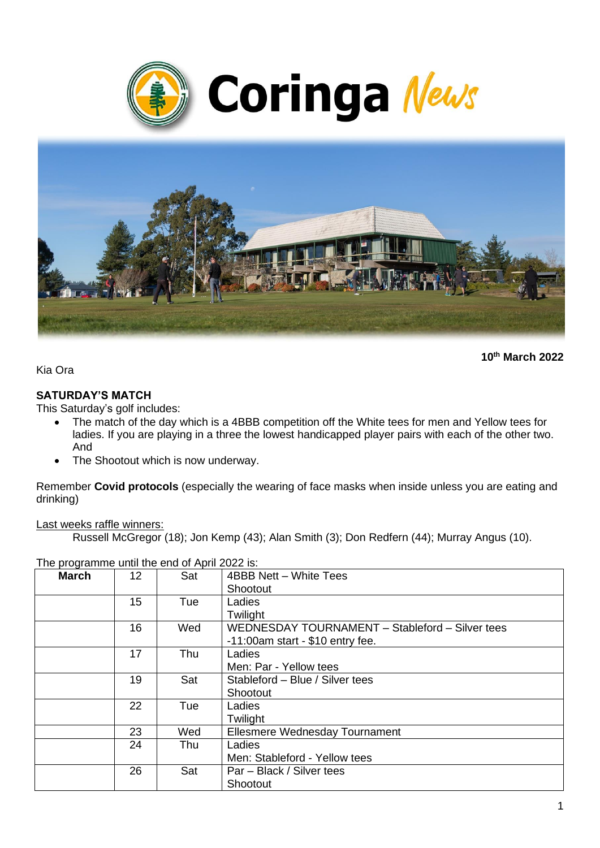



**10th March 2022**

Kia Ora

# **SATURDAY'S MATCH**

This Saturday's golf includes:

- The match of the day which is a 4BBB competition off the White tees for men and Yellow tees for ladies. If you are playing in a three the lowest handicapped player pairs with each of the other two. And
- The Shootout which is now underway.

Remember **Covid protocols** (especially the wearing of face masks when inside unless you are eating and drinking)

Last weeks raffle winners:

Russell McGregor (18); Jon Kemp (43); Alan Smith (3); Don Redfern (44); Murray Angus (10).

**March** 12 Sat 4BBB Nett – White Tees **Shootout** 15 Tue Ladies **Twilight** 16 Wed WEDNESDAY TOURNAMENT – Stableford – Silver tees -11:00am start - \$10 entry fee. 17 | Thu Ladies Men: Par - Yellow tees 19 Sat Stableford – Blue / Silver tees Shootout 22 Tue Ladies **Twilight** 23 | Wed | Ellesmere Wednesday Tournament 24 Thu Ladies Men: Stableford - Yellow tees 26 Sat Par – Black / Silver tees **Shootout** 

The programme until the end of April 2022 is: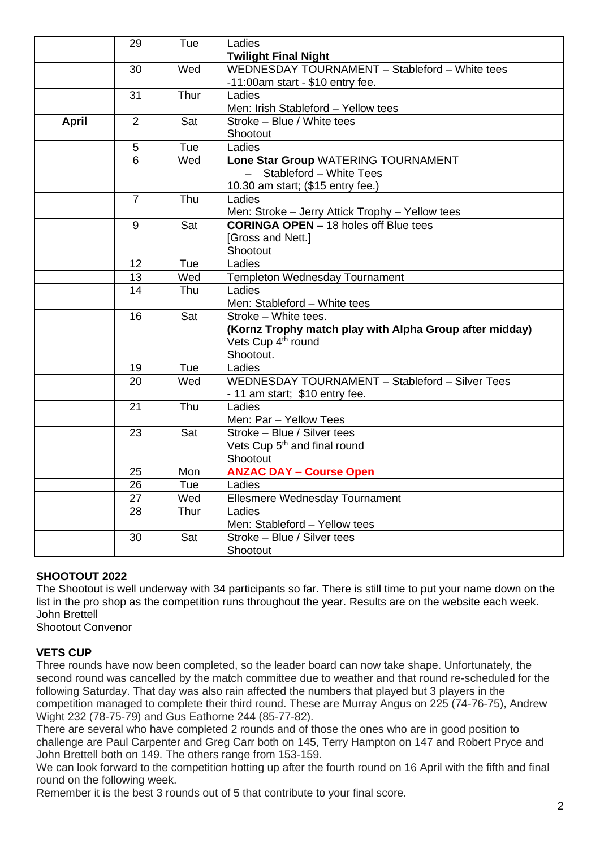|              | 29             | Tue               | Ladies                                                                                |  |
|--------------|----------------|-------------------|---------------------------------------------------------------------------------------|--|
|              |                |                   | <b>Twilight Final Night</b>                                                           |  |
|              | 30             | Wed               | WEDNESDAY TOURNAMENT - Stableford - White tees<br>$-11:00$ am start - \$10 entry fee. |  |
|              | 31             | Thur              | Ladies                                                                                |  |
|              |                |                   | Men: Irish Stableford - Yellow tees                                                   |  |
| <b>April</b> | $\overline{2}$ | Sat               | Stroke - Blue / White tees                                                            |  |
|              |                |                   | Shootout                                                                              |  |
|              | 5              | Tue               | Ladies                                                                                |  |
|              | $\overline{6}$ | Wed               | Lone Star Group WATERING TOURNAMENT                                                   |  |
|              |                |                   | Stableford - White Tees                                                               |  |
|              |                |                   | 10.30 am start; (\$15 entry fee.)                                                     |  |
|              | $\overline{7}$ | Thu               | Ladies                                                                                |  |
|              |                |                   | Men: Stroke - Jerry Attick Trophy - Yellow tees                                       |  |
|              | 9              | Sat               | <b>CORINGA OPEN - 18 holes off Blue tees</b>                                          |  |
|              |                |                   | [Gross and Nett.]                                                                     |  |
|              |                |                   | Shootout                                                                              |  |
|              | 12             | Tue               | Ladies                                                                                |  |
|              | 13             | $\overline{W}$ ed | <b>Templeton Wednesday Tournament</b>                                                 |  |
|              | 14             | Thu               | Ladies                                                                                |  |
|              |                |                   | Men: Stableford - White tees                                                          |  |
|              | 16             | Sat               | Stroke - White tees.                                                                  |  |
|              |                |                   | (Kornz Trophy match play with Alpha Group after midday)                               |  |
|              |                |                   | Vets Cup 4 <sup>th</sup> round                                                        |  |
|              |                |                   | Shootout.                                                                             |  |
|              | 19             | Tue               | Ladies                                                                                |  |
|              | 20             | Wed               | WEDNESDAY TOURNAMENT - Stableford - Silver Tees                                       |  |
|              |                |                   | - 11 am start; \$10 entry fee.                                                        |  |
|              | 21             | Thu               | Ladies                                                                                |  |
|              |                |                   | Men: Par - Yellow Tees                                                                |  |
|              | 23             | Sat               | Stroke - Blue / Silver tees                                                           |  |
|              |                |                   | Vets Cup 5 <sup>th</sup> and final round                                              |  |
|              |                |                   | Shootout                                                                              |  |
|              | 25             | Mon               | <b>ANZAC DAY - Course Open</b>                                                        |  |
|              | 26             | Tue               | Ladies                                                                                |  |
|              | 27             | Wed               | Ellesmere Wednesday Tournament                                                        |  |
|              | 28             | Thur              | Ladies                                                                                |  |
|              |                |                   | Men: Stableford - Yellow tees                                                         |  |
|              | 30             | Sat               | Stroke - Blue / Silver tees                                                           |  |
|              |                |                   | Shootout                                                                              |  |

### **SHOOTOUT 2022**

The Shootout is well underway with 34 participants so far. There is still time to put your name down on the list in the pro shop as the competition runs throughout the year. Results are on the website each week. John Brettell

Shootout Convenor

### **VETS CUP**

Three rounds have now been completed, so the leader board can now take shape. Unfortunately, the second round was cancelled by the match committee due to weather and that round re-scheduled for the following Saturday. That day was also rain affected the numbers that played but 3 players in the competition managed to complete their third round. These are Murray Angus on 225 (74-76-75), Andrew Wight 232 (78-75-79) and Gus Eathorne 244 (85-77-82).

There are several who have completed 2 rounds and of those the ones who are in good position to challenge are Paul Carpenter and Greg Carr both on 145, Terry Hampton on 147 and Robert Pryce and John Brettell both on 149. The others range from 153-159.

We can look forward to the competition hotting up after the fourth round on 16 April with the fifth and final round on the following week.

Remember it is the best 3 rounds out of 5 that contribute to your final score.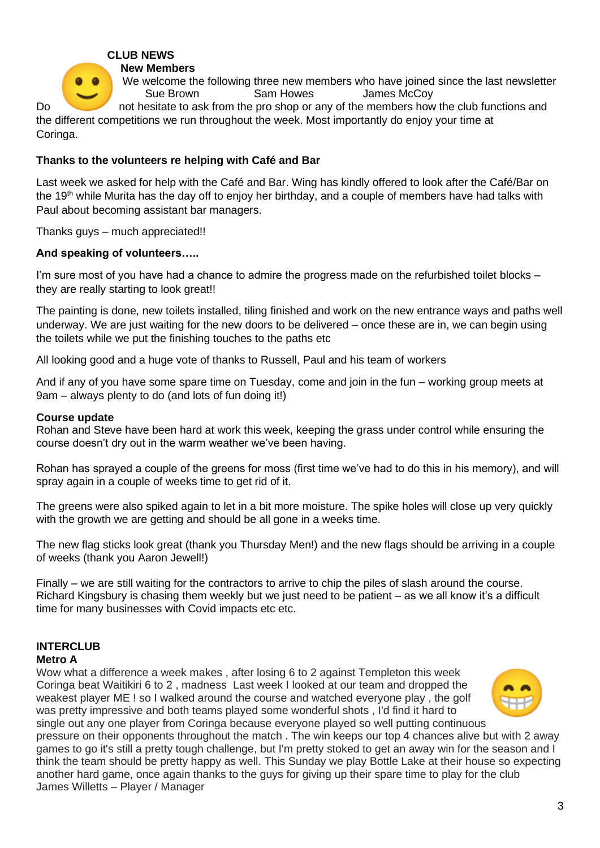# **CLUB NEWS**

**New Members**

We welcome the following three new members who have joined since the last newsletter Sue Brown Sam Howes James McCoy

Do not hesitate to ask from the pro shop or any of the members how the club functions and the different competitions we run throughout the week. Most importantly do enjoy your time at Coringa.

# **Thanks to the volunteers re helping with Café and Bar**

Last week we asked for help with the Café and Bar. Wing has kindly offered to look after the Café/Bar on the 19<sup>th</sup> while Murita has the day off to enjoy her birthday, and a couple of members have had talks with Paul about becoming assistant bar managers.

Thanks guys – much appreciated!!

# **And speaking of volunteers…..**

I'm sure most of you have had a chance to admire the progress made on the refurbished toilet blocks – they are really starting to look great!!

The painting is done, new toilets installed, tiling finished and work on the new entrance ways and paths well underway. We are just waiting for the new doors to be delivered – once these are in, we can begin using the toilets while we put the finishing touches to the paths etc

All looking good and a huge vote of thanks to Russell, Paul and his team of workers

And if any of you have some spare time on Tuesday, come and join in the fun – working group meets at 9am – always plenty to do (and lots of fun doing it!)

### **Course update**

Rohan and Steve have been hard at work this week, keeping the grass under control while ensuring the course doesn't dry out in the warm weather we've been having.

Rohan has sprayed a couple of the greens for moss (first time we've had to do this in his memory), and will spray again in a couple of weeks time to get rid of it.

The greens were also spiked again to let in a bit more moisture. The spike holes will close up very quickly with the growth we are getting and should be all gone in a weeks time.

The new flag sticks look great (thank you Thursday Men!) and the new flags should be arriving in a couple of weeks (thank you Aaron Jewell!)

Finally – we are still waiting for the contractors to arrive to chip the piles of slash around the course. Richard Kingsbury is chasing them weekly but we just need to be patient – as we all know it's a difficult time for many businesses with Covid impacts etc etc.

# **INTERCLUB**

### **Metro A**

Wow what a difference a week makes , after losing 6 to 2 against Templeton this week Coringa beat Waitikiri 6 to 2 , madness Last week I looked at our team and dropped the weakest player ME ! so I walked around the course and watched everyone play , the golf was pretty impressive and both teams played some wonderful shots , I'd find it hard to single out any one player from Coringa because everyone played so well putting continuous



pressure on their opponents throughout the match . The win keeps our top 4 chances alive but with 2 away games to go it's still a pretty tough challenge, but I'm pretty stoked to get an away win for the season and I think the team should be pretty happy as well. This Sunday we play Bottle Lake at their house so expecting another hard game, once again thanks to the guys for giving up their spare time to play for the club James Willetts – Player / Manager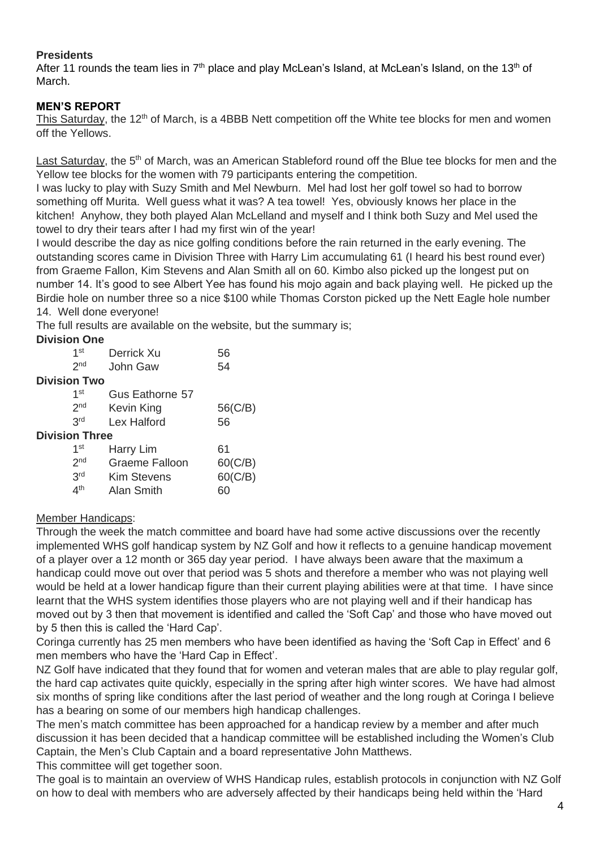## **Presidents**

After 11 rounds the team lies in  $7<sup>th</sup>$  place and play McLean's Island, at McLean's Island, on the 13<sup>th</sup> of March.

# **MEN'S REPORT**

This Saturday, the 12<sup>th</sup> of March, is a 4BBB Nett competition off the White tee blocks for men and women off the Yellows.

Last Saturday, the 5<sup>th</sup> of March, was an American Stableford round off the Blue tee blocks for men and the Yellow tee blocks for the women with 79 participants entering the competition.

I was lucky to play with Suzy Smith and Mel Newburn. Mel had lost her golf towel so had to borrow something off Murita. Well guess what it was? A tea towel! Yes, obviously knows her place in the kitchen! Anyhow, they both played Alan McLelland and myself and I think both Suzy and Mel used the towel to dry their tears after I had my first win of the year!

I would describe the day as nice golfing conditions before the rain returned in the early evening. The outstanding scores came in Division Three with Harry Lim accumulating 61 (I heard his best round ever) from Graeme Fallon, Kim Stevens and Alan Smith all on 60. Kimbo also picked up the longest put on number 14. It's good to see Albert Yee has found his mojo again and back playing well. He picked up the Birdie hole on number three so a nice \$100 while Thomas Corston picked up the Nett Eagle hole number 14. Well done everyone!

The full results are available on the website, but the summary is;

### **Division One**

| 1 <sub>st</sub>       | Derrick Xu            | 56      |
|-----------------------|-----------------------|---------|
| 2 <sub>nd</sub>       | John Gaw              | 54      |
| <b>Division Two</b>   |                       |         |
| 1 <sup>st</sup>       | Gus Eathorne 57       |         |
| 2 <sub>nd</sub>       | Kevin King            | 56(C/B) |
| 3 <sup>rd</sup>       | <b>Lex Halford</b>    | 56      |
| <b>Division Three</b> |                       |         |
| 1 <sup>st</sup>       | Harry Lim             | 61      |
| 2 <sub>nd</sub>       | <b>Graeme Falloon</b> | 60(C/B) |
| 3 <sup>rd</sup>       | <b>Kim Stevens</b>    | 60(C/B) |
| $4^{\text{th}}$       | Alan Smith            | ഹ       |
|                       |                       |         |

### Member Handicaps:

Through the week the match committee and board have had some active discussions over the recently implemented WHS golf handicap system by NZ Golf and how it reflects to a genuine handicap movement of a player over a 12 month or 365 day year period. I have always been aware that the maximum a handicap could move out over that period was 5 shots and therefore a member who was not playing well would be held at a lower handicap figure than their current playing abilities were at that time. I have since learnt that the WHS system identifies those players who are not playing well and if their handicap has moved out by 3 then that movement is identified and called the 'Soft Cap' and those who have moved out by 5 then this is called the 'Hard Cap'.

Coringa currently has 25 men members who have been identified as having the 'Soft Cap in Effect' and 6 men members who have the 'Hard Cap in Effect'.

NZ Golf have indicated that they found that for women and veteran males that are able to play regular golf. the hard cap activates quite quickly, especially in the spring after high winter scores. We have had almost six months of spring like conditions after the last period of weather and the long rough at Coringa I believe has a bearing on some of our members high handicap challenges.

The men's match committee has been approached for a handicap review by a member and after much discussion it has been decided that a handicap committee will be established including the Women's Club Captain, the Men's Club Captain and a board representative John Matthews.

This committee will get together soon.

The goal is to maintain an overview of WHS Handicap rules, establish protocols in conjunction with NZ Golf on how to deal with members who are adversely affected by their handicaps being held within the 'Hard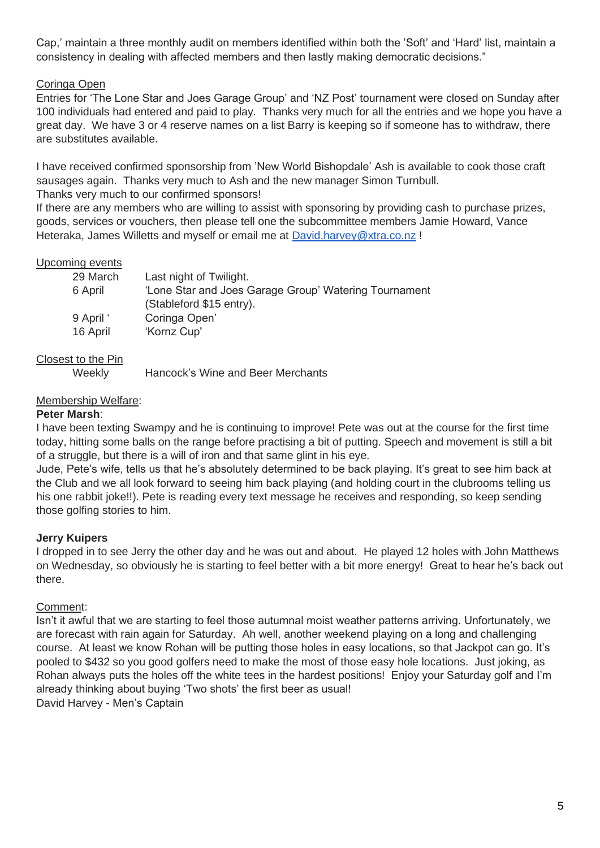Cap,' maintain a three monthly audit on members identified within both the 'Soft' and 'Hard' list, maintain a consistency in dealing with affected members and then lastly making democratic decisions."

# Coringa Open

Entries for 'The Lone Star and Joes Garage Group' and 'NZ Post' tournament were closed on Sunday after 100 individuals had entered and paid to play. Thanks very much for all the entries and we hope you have a great day. We have 3 or 4 reserve names on a list Barry is keeping so if someone has to withdraw, there are substitutes available.

I have received confirmed sponsorship from 'New World Bishopdale' Ash is available to cook those craft sausages again. Thanks very much to Ash and the new manager Simon Turnbull. Thanks very much to our confirmed sponsors!

If there are any members who are willing to assist with sponsoring by providing cash to purchase prizes, goods, services or vouchers, then please tell one the subcommittee members Jamie Howard, Vance Heteraka, James Willetts and myself or email me at [David.harvey@xtra.co.nz](mailto:David.harvey@xtra.co.nz) !

### Upcoming events

| 29 March  | Last night of Twilight.                               |
|-----------|-------------------------------------------------------|
| 6 April   | 'Lone Star and Joes Garage Group' Watering Tournament |
|           | (Stableford \$15 entry).                              |
| 9 April ' | Coringa Open'                                         |
| 16 April  | 'Kornz Cup'                                           |

### Closest to the Pin

Weekly Hancock's Wine and Beer Merchants

### Membership Welfare:

### **Peter Marsh**:

I have been texting Swampy and he is continuing to improve! Pete was out at the course for the first time today, hitting some balls on the range before practising a bit of putting. Speech and movement is still a bit of a struggle, but there is a will of iron and that same glint in his eye.

Jude, Pete's wife, tells us that he's absolutely determined to be back playing. It's great to see him back at the Club and we all look forward to seeing him back playing (and holding court in the clubrooms telling us his one rabbit joke!!). Pete is reading every text message he receives and responding, so keep sending those golfing stories to him.

### **Jerry Kuipers**

I dropped in to see Jerry the other day and he was out and about. He played 12 holes with John Matthews on Wednesday, so obviously he is starting to feel better with a bit more energy! Great to hear he's back out there.

### Comment:

Isn't it awful that we are starting to feel those autumnal moist weather patterns arriving. Unfortunately, we are forecast with rain again for Saturday. Ah well, another weekend playing on a long and challenging course. At least we know Rohan will be putting those holes in easy locations, so that Jackpot can go. It's pooled to \$432 so you good golfers need to make the most of those easy hole locations. Just joking, as Rohan always puts the holes off the white tees in the hardest positions! Enjoy your Saturday golf and I'm already thinking about buying 'Two shots' the first beer as usual! David Harvey - Men's Captain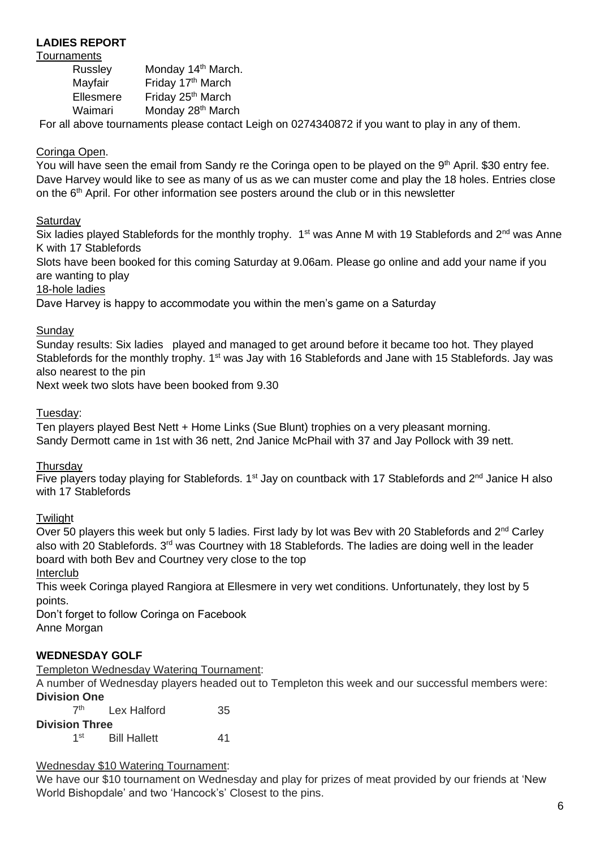### **LADIES REPORT**

**Tournaments** 

| Russley   | Monday 14 <sup>th</sup> March. |
|-----------|--------------------------------|
| Mayfair   | Friday 17th March              |
| Ellesmere | Friday 25 <sup>th</sup> March  |
| Waimari   | Monday 28 <sup>th</sup> March  |
|           |                                |

For all above tournaments please contact Leigh on 0274340872 if you want to play in any of them.

### Coringa Open.

You will have seen the email from Sandy re the Coringa open to be played on the 9<sup>th</sup> April. \$30 entry fee. Dave Harvey would like to see as many of us as we can muster come and play the 18 holes. Entries close on the 6<sup>th</sup> April. For other information see posters around the club or in this newsletter

### **Saturday**

Six ladies played Stablefords for the monthly trophy. 1<sup>st</sup> was Anne M with 19 Stablefords and 2<sup>nd</sup> was Anne K with 17 Stablefords

Slots have been booked for this coming Saturday at 9.06am. Please go online and add your name if you are wanting to play

#### 18-hole ladies

Dave Harvey is happy to accommodate you within the men's game on a Saturday

#### **Sundav**

Sunday results: Six ladies played and managed to get around before it became too hot. They played Stablefords for the monthly trophy. 1<sup>st</sup> was Jay with 16 Stablefords and Jane with 15 Stablefords. Jay was also nearest to the pin

Next week two slots have been booked from 9.30

### Tuesday:

Ten players played Best Nett + Home Links (Sue Blunt) trophies on a very pleasant morning. Sandy Dermott came in 1st with 36 nett, 2nd Janice McPhail with 37 and Jay Pollock with 39 nett.

### **Thursdav**

Five players today playing for Stablefords. 1<sup>st</sup> Jay on countback with 17 Stablefords and 2<sup>nd</sup> Janice H also with 17 Stablefords

### **Twilight**

Over 50 players this week but only 5 ladies. First lady by lot was Bey with 20 Stablefords and  $2<sup>nd</sup>$  Carley also with 20 Stablefords. 3<sup>rd</sup> was Courtney with 18 Stablefords. The ladies are doing well in the leader board with both Bev and Courtney very close to the top

Interclub

This week Coringa played Rangiora at Ellesmere in very wet conditions. Unfortunately, they lost by 5 points.

Don't forget to follow Coringa on Facebook Anne Morgan

### **WEDNESDAY GOLF**

Templeton Wednesday Watering Tournament:

A number of Wednesday players headed out to Templeton this week and our successful members were: **Division One**

| 7 <sup>th</sup>       | Lex Halford         | 35 |
|-----------------------|---------------------|----|
| <b>Division Three</b> |                     |    |
| 1 <sub>st</sub>       | <b>Bill Hallett</b> | 41 |

#### Wednesday \$10 Watering Tournament:

We have our \$10 tournament on Wednesday and play for prizes of meat provided by our friends at 'New World Bishopdale' and two 'Hancock's' Closest to the pins.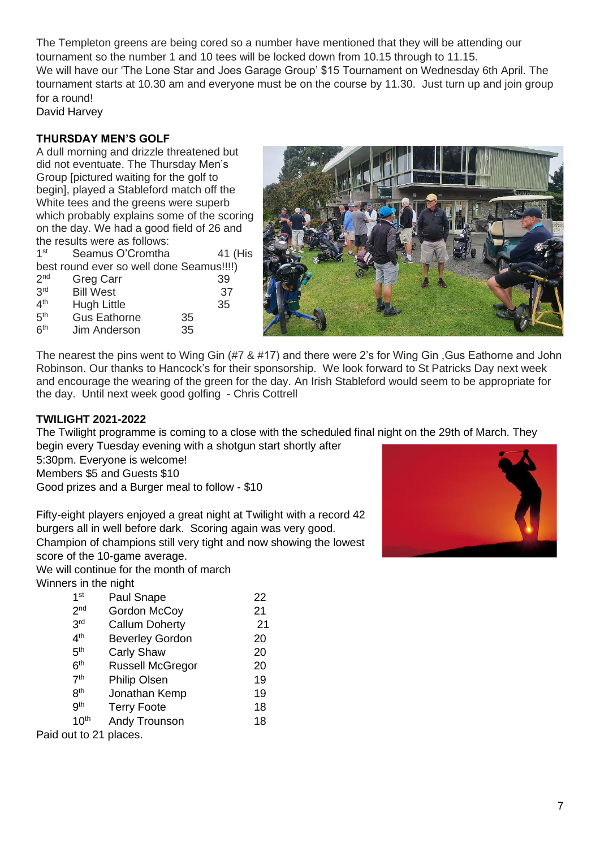The Templeton greens are being cored so a number have mentioned that they will be attending our tournament so the number 1 and 10 tees will be locked down from 10.15 through to 11.15. We will have our 'The Lone Star and Joes Garage Group' \$15 Tournament on Wednesday 6th April. The tournament starts at 10.30 am and everyone must be on the course by 11.30. Just turn up and join group for a round!

David Harvey

# **THURSDAY MEN'S GOLF**

A dull morning and drizzle threatened but did not eventuate. The Thursday Men's Group [pictured waiting for the golf to begin], played a Stableford match off the White tees and the greens were superb which probably explains some of the scoring on the day. We had a good field of 26 and the results were as follows:

 $1<sup>st</sup>$ Seamus O'Cromtha 41 (His best round ever so well done Seamus!!!!)  $\Omega$ nd <sup>nd</sup> Greg Carr 39

| ∠               | Giey Gall           |    | JЭ |
|-----------------|---------------------|----|----|
| 3 <sup>rd</sup> | <b>Bill West</b>    |    | 37 |
| 4 <sup>th</sup> | Hugh Little         |    | 35 |
| 5 <sup>th</sup> | <b>Gus Eathorne</b> | 35 |    |
| 6 <sup>th</sup> | Jim Anderson        | 35 |    |



The nearest the pins went to Wing Gin (#7 & #17) and there were 2's for Wing Gin ,Gus Eathorne and John Robinson. Our thanks to Hancock's for their sponsorship. We look forward to St Patricks Day next week and encourage the wearing of the green for the day. An Irish Stableford would seem to be appropriate for the day. Until next week good golfing - Chris Cottrell

### **TWILIGHT 2021-2022**

The Twilight programme is coming to a close with the scheduled final night on the 29th of March. They

begin every Tuesday evening with a shotgun start shortly after 5:30pm. Everyone is welcome! Members \$5 and Guests \$10 Good prizes and a Burger meal to follow - \$10

Fifty-eight players enjoyed a great night at Twilight with a record 42 burgers all in well before dark. Scoring again was very good.

Champion of champions still very tight and now showing the lowest score of the 10-game average.

We will continue for the month of march Winners in the night

| 1 <sup>st</sup>        | Paul Snape              | 22 |  |
|------------------------|-------------------------|----|--|
| 2 <sub>nd</sub>        | <b>Gordon McCoy</b>     | 21 |  |
| 3 <sup>rd</sup>        | <b>Callum Doherty</b>   | 21 |  |
| 4 <sup>th</sup>        | <b>Beverley Gordon</b>  | 20 |  |
| 5 <sup>th</sup>        | <b>Carly Shaw</b>       | 20 |  |
| 6 <sup>th</sup>        | <b>Russell McGregor</b> | 20 |  |
| 7 <sup>th</sup>        | <b>Philip Olsen</b>     | 19 |  |
| 8 <sup>th</sup>        | Jonathan Kemp           | 19 |  |
| 9 <sup>th</sup>        | <b>Terry Foote</b>      | 18 |  |
| 10 <sup>th</sup>       | Andy Trounson           | 18 |  |
| Paid out to 21 places. |                         |    |  |

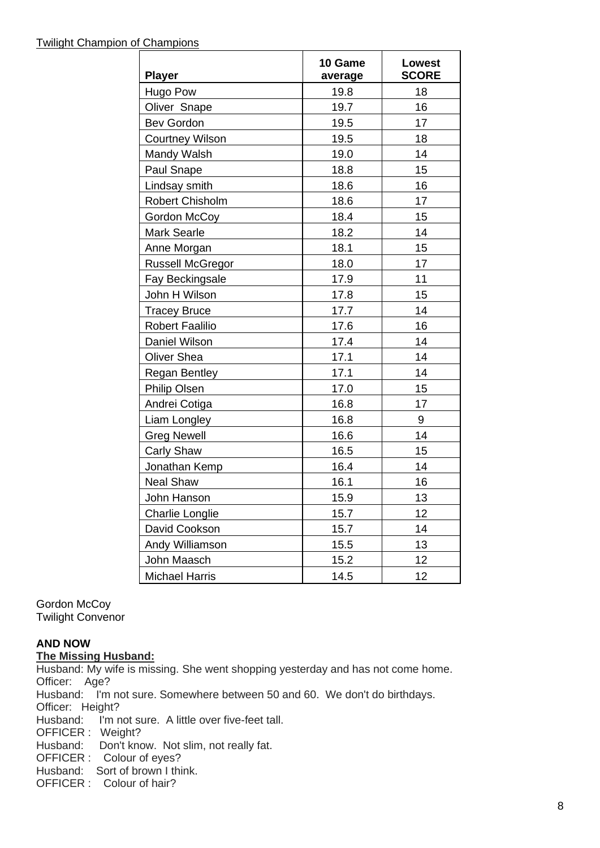| <b>Player</b>           | 10 Game<br>average | <b>Lowest</b><br><b>SCORE</b> |
|-------------------------|--------------------|-------------------------------|
| Hugo Pow                | 19.8               | 18                            |
| Oliver Snape            | 19.7               | 16                            |
| <b>Bev Gordon</b>       | 19.5               | 17                            |
| <b>Courtney Wilson</b>  | 19.5               | 18                            |
| Mandy Walsh             | 19.0               | 14                            |
| Paul Snape              | 18.8               | 15                            |
| Lindsay smith           | 18.6               | 16                            |
| Robert Chisholm         | 18.6               | 17                            |
| Gordon McCoy            | 18.4               | 15                            |
| <b>Mark Searle</b>      | 18.2               | 14                            |
| Anne Morgan             | 18.1               | 15                            |
| <b>Russell McGregor</b> | 18.0               | 17                            |
| Fay Beckingsale         | 17.9               | 11                            |
| John H Wilson           | 17.8               | 15                            |
| <b>Tracey Bruce</b>     | 17.7               | 14                            |
| <b>Robert Faalilio</b>  | 17.6               | 16                            |
| Daniel Wilson           | 17.4               | 14                            |
| <b>Oliver Shea</b>      | 17.1               | 14                            |
| <b>Regan Bentley</b>    | 17.1               | 14                            |
| <b>Philip Olsen</b>     | 17.0               | 15                            |
| Andrei Cotiga           | 16.8               | 17                            |
| Liam Longley            | 16.8               | 9                             |
| <b>Greg Newell</b>      | 16.6               | 14                            |
| <b>Carly Shaw</b>       | 16.5               | 15                            |
| Jonathan Kemp           | 16.4               | 14                            |
| <b>Neal Shaw</b>        | 16.1               | 16                            |
| John Hanson             | 15.9               | 13                            |
| Charlie Longlie         | 15.7               | 12                            |
| David Cookson           | 15.7               | 14                            |
| Andy Williamson         | 15.5               | 13                            |
| John Maasch             | 15.2               | 12                            |
| <b>Michael Harris</b>   | 14.5               | 12                            |

Gordon McCoy Twilight Convenor

### **AND NOW**

**The Missing Husband:**

Husband: My wife is missing. She went shopping yesterday and has not come home. Officer: Age? Husband: I'm not sure. Somewhere between 50 and 60. We don't do birthdays.

Officer: Height? Husband: I'm not sure. A little over five-feet tall.

OFFICER : Weight?

Husband: Don't know. Not slim, not really fat.

OFFICER : Colour of eyes?

Husband: Sort of brown I think.

OFFICER : Colour of hair?